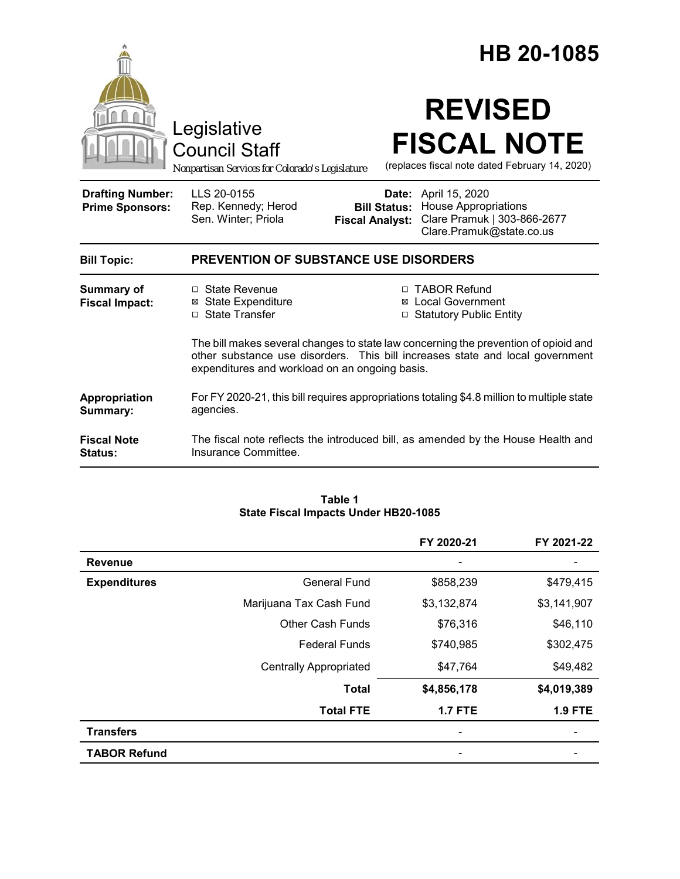|                                                   |                                                                                                                                                                                                                        |                                               | HB 20-1085                                                                                                            |  |
|---------------------------------------------------|------------------------------------------------------------------------------------------------------------------------------------------------------------------------------------------------------------------------|-----------------------------------------------|-----------------------------------------------------------------------------------------------------------------------|--|
|                                                   | Legislative<br><b>Council Staff</b><br>Nonpartisan Services for Colorado's Legislature                                                                                                                                 |                                               | <b>REVISED</b><br><b>FISCAL NOTE</b><br>(replaces fiscal note dated February 14, 2020)                                |  |
| <b>Drafting Number:</b><br><b>Prime Sponsors:</b> | LLS 20-0155<br>Rep. Kennedy; Herod<br>Sen. Winter; Priola                                                                                                                                                              | <b>Bill Status:</b><br><b>Fiscal Analyst:</b> | <b>Date:</b> April 15, 2020<br><b>House Appropriations</b><br>Clare Pramuk   303-866-2677<br>Clare.Pramuk@state.co.us |  |
| <b>Bill Topic:</b>                                | <b>PREVENTION OF SUBSTANCE USE DISORDERS</b>                                                                                                                                                                           |                                               |                                                                                                                       |  |
| <b>Summary of</b><br><b>Fiscal Impact:</b>        | $\Box$ State Revenue<br><b>⊠</b> State Expenditure<br>□ State Transfer                                                                                                                                                 | ⊠<br>□                                        | □ TABOR Refund<br><b>Local Government</b><br><b>Statutory Public Entity</b>                                           |  |
|                                                   | The bill makes several changes to state law concerning the prevention of opioid and<br>other substance use disorders. This bill increases state and local government<br>expenditures and workload on an ongoing basis. |                                               |                                                                                                                       |  |
| Appropriation<br>Summary:                         | For FY 2020-21, this bill requires appropriations totaling \$4.8 million to multiple state<br>agencies.                                                                                                                |                                               |                                                                                                                       |  |
| <b>Fiscal Note</b><br>Status:                     | Insurance Committee.                                                                                                                                                                                                   |                                               | The fiscal note reflects the introduced bill, as amended by the House Health and                                      |  |

#### **Table 1 State Fiscal Impacts Under HB20-1085**

|                     |                               | FY 2020-21     | FY 2021-22     |
|---------------------|-------------------------------|----------------|----------------|
| <b>Revenue</b>      |                               |                |                |
| <b>Expenditures</b> | <b>General Fund</b>           | \$858,239      | \$479,415      |
|                     | Marijuana Tax Cash Fund       | \$3,132,874    | \$3,141,907    |
|                     | <b>Other Cash Funds</b>       | \$76,316       | \$46,110       |
|                     | <b>Federal Funds</b>          | \$740,985      | \$302,475      |
|                     | <b>Centrally Appropriated</b> | \$47,764       | \$49,482       |
|                     | <b>Total</b>                  | \$4,856,178    | \$4,019,389    |
|                     | <b>Total FTE</b>              | <b>1.7 FTE</b> | <b>1.9 FTE</b> |
| <b>Transfers</b>    |                               |                |                |
| <b>TABOR Refund</b> |                               |                |                |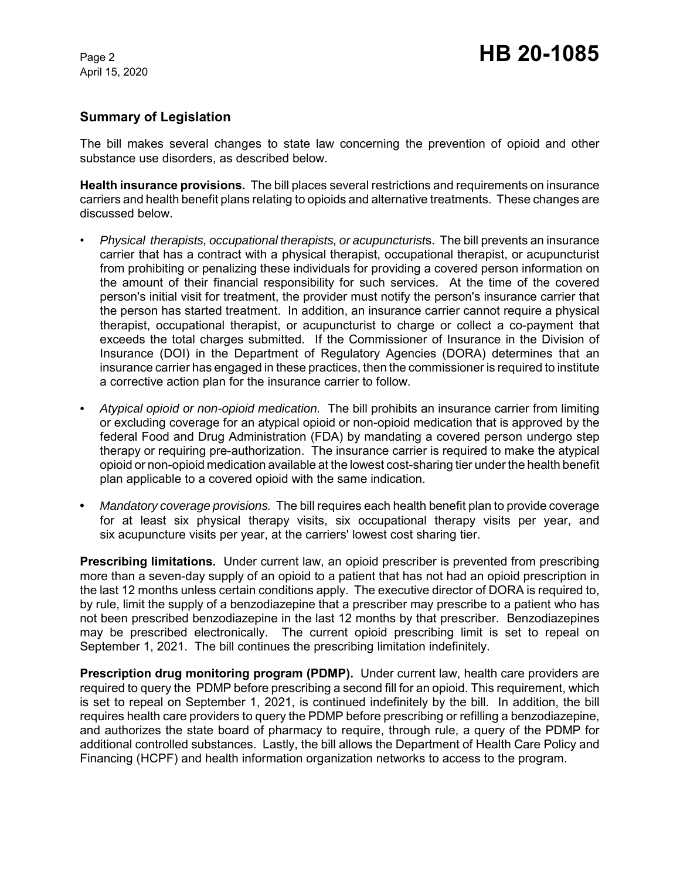## **Summary of Legislation**

The bill makes several changes to state law concerning the prevention of opioid and other substance use disorders, as described below.

**Health insurance provisions.** The bill places several restrictions and requirements on insurance carriers and health benefit plans relating to opioids and alternative treatments. These changes are discussed below.

- *Physical therapists, occupational therapists, or acupuncturist*s. The bill prevents an insurance carrier that has a contract with a physical therapist, occupational therapist, or acupuncturist from prohibiting or penalizing these individuals for providing a covered person information on the amount of their financial responsibility for such services. At the time of the covered person's initial visit for treatment, the provider must notify the person's insurance carrier that the person has started treatment. In addition, an insurance carrier cannot require a physical therapist, occupational therapist, or acupuncturist to charge or collect a co-payment that exceeds the total charges submitted. If the Commissioner of Insurance in the Division of Insurance (DOI) in the Department of Regulatory Agencies (DORA) determines that an insurance carrier has engaged in these practices, then the commissioner is required to institute a corrective action plan for the insurance carrier to follow.
- *Atypical opioid or non-opioid medication.* The bill prohibits an insurance carrier from limiting or excluding coverage for an atypical opioid or non-opioid medication that is approved by the federal Food and Drug Administration (FDA) by mandating a covered person undergo step therapy or requiring pre-authorization. The insurance carrier is required to make the atypical opioid or non-opioid medication available at the lowest cost-sharing tier under the health benefit plan applicable to a covered opioid with the same indication.
- **•** *Mandatory coverage provisions.* The bill requires each health benefit plan to provide coverage for at least six physical therapy visits, six occupational therapy visits per year, and six acupuncture visits per year, at the carriers' lowest cost sharing tier.

**Prescribing limitations.** Under current law, an opioid prescriber is prevented from prescribing more than a seven-day supply of an opioid to a patient that has not had an opioid prescription in the last 12 months unless certain conditions apply. The executive director of DORA is required to, by rule, limit the supply of a benzodiazepine that a prescriber may prescribe to a patient who has not been prescribed benzodiazepine in the last 12 months by that prescriber. Benzodiazepines may be prescribed electronically. The current opioid prescribing limit is set to repeal on September 1, 2021. The bill continues the prescribing limitation indefinitely.

**Prescription drug monitoring program (PDMP).** Under current law, health care providers are required to query the PDMP before prescribing a second fill for an opioid. This requirement, which is set to repeal on September 1, 2021, is continued indefinitely by the bill. In addition, the bill requires health care providers to query the PDMP before prescribing or refilling a benzodiazepine, and authorizes the state board of pharmacy to require, through rule, a query of the PDMP for additional controlled substances. Lastly, the bill allows the Department of Health Care Policy and Financing (HCPF) and health information organization networks to access to the program.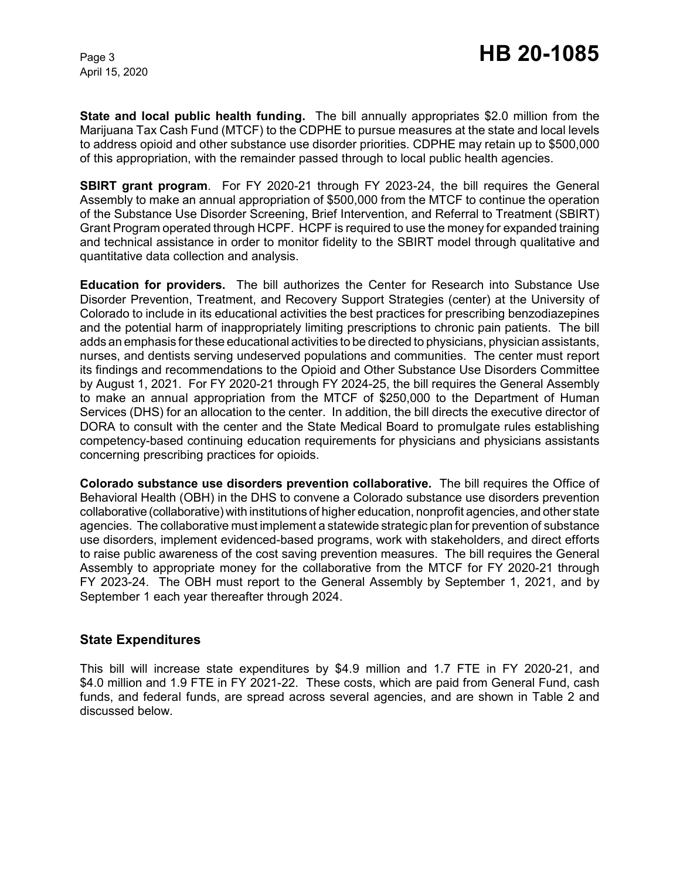**State and local public health funding.** The bill annually appropriates \$2.0 million from the Marijuana Tax Cash Fund (MTCF) to the CDPHE to pursue measures at the state and local levels to address opioid and other substance use disorder priorities. CDPHE may retain up to \$500,000 of this appropriation, with the remainder passed through to local public health agencies.

**SBIRT grant program**. For FY 2020-21 through FY 2023-24, the bill requires the General Assembly to make an annual appropriation of \$500,000 from the MTCF to continue the operation of the Substance Use Disorder Screening, Brief Intervention, and Referral to Treatment (SBIRT) Grant Program operated through HCPF. HCPF is required to use the money for expanded training and technical assistance in order to monitor fidelity to the SBIRT model through qualitative and quantitative data collection and analysis.

**Education for providers.** The bill authorizes the Center for Research into Substance Use Disorder Prevention, Treatment, and Recovery Support Strategies (center) at the University of Colorado to include in its educational activities the best practices for prescribing benzodiazepines and the potential harm of inappropriately limiting prescriptions to chronic pain patients. The bill adds an emphasis for these educational activities to be directed to physicians, physician assistants, nurses, and dentists serving undeserved populations and communities. The center must report its findings and recommendations to the Opioid and Other Substance Use Disorders Committee by August 1, 2021. For FY 2020-21 through FY 2024-25, the bill requires the General Assembly to make an annual appropriation from the MTCF of \$250,000 to the Department of Human Services (DHS) for an allocation to the center. In addition, the bill directs the executive director of DORA to consult with the center and the State Medical Board to promulgate rules establishing competency-based continuing education requirements for physicians and physicians assistants concerning prescribing practices for opioids.

**Colorado substance use disorders prevention collaborative.** The bill requires the Office of Behavioral Health (OBH) in the DHS to convene a Colorado substance use disorders prevention collaborative (collaborative) with institutions of higher education, nonprofit agencies, and other state agencies. The collaborative must implement a statewide strategic plan for prevention of substance use disorders, implement evidenced-based programs, work with stakeholders, and direct efforts to raise public awareness of the cost saving prevention measures. The bill requires the General Assembly to appropriate money for the collaborative from the MTCF for FY 2020-21 through FY 2023-24. The OBH must report to the General Assembly by September 1, 2021, and by September 1 each year thereafter through 2024.

### **State Expenditures**

This bill will increase state expenditures by \$4.9 million and 1.7 FTE in FY 2020-21, and \$4.0 million and 1.9 FTE in FY 2021-22. These costs, which are paid from General Fund, cash funds, and federal funds, are spread across several agencies, and are shown in Table 2 and discussed below.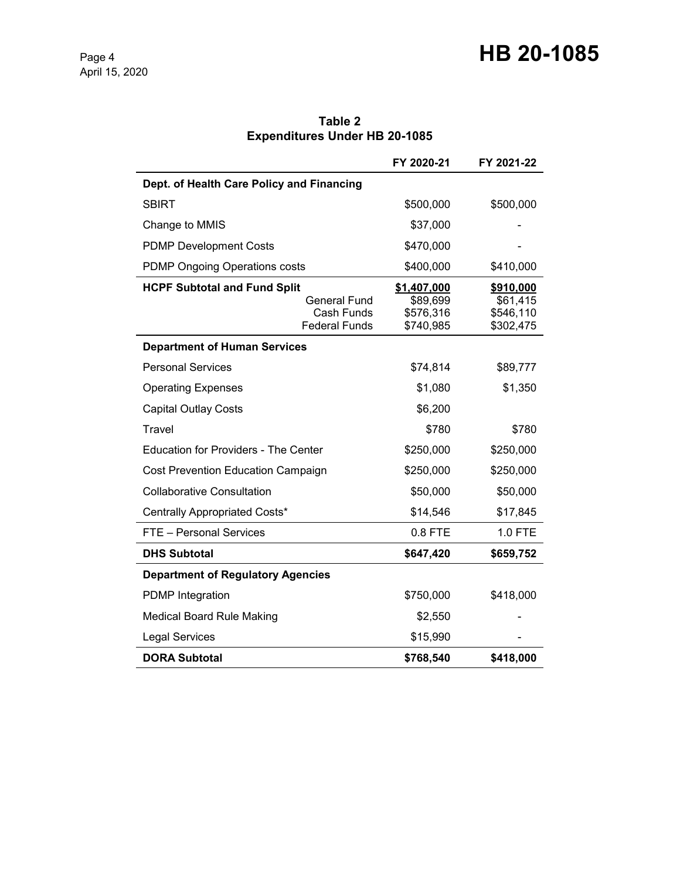|                                             | FY 2020-21  | FY 2021-22 |
|---------------------------------------------|-------------|------------|
| Dept. of Health Care Policy and Financing   |             |            |
| <b>SBIRT</b>                                | \$500,000   | \$500,000  |
| Change to MMIS                              | \$37,000    |            |
| <b>PDMP Development Costs</b>               | \$470,000   |            |
| <b>PDMP Ongoing Operations costs</b>        | \$400,000   | \$410,000  |
| <b>HCPF Subtotal and Fund Split</b>         | \$1,407,000 | \$910,000  |
| <b>General Fund</b>                         | \$89,699    | \$61,415   |
| Cash Funds                                  | \$576,316   | \$546,110  |
| <b>Federal Funds</b>                        | \$740,985   | \$302,475  |
| <b>Department of Human Services</b>         |             |            |
| <b>Personal Services</b>                    | \$74,814    | \$89,777   |
| <b>Operating Expenses</b>                   | \$1,080     | \$1,350    |
| <b>Capital Outlay Costs</b>                 | \$6,200     |            |
| Travel                                      | \$780       | \$780      |
| <b>Education for Providers - The Center</b> | \$250,000   | \$250,000  |
| Cost Prevention Education Campaign          | \$250,000   | \$250,000  |
| <b>Collaborative Consultation</b>           | \$50,000    | \$50,000   |
| Centrally Appropriated Costs*               | \$14,546    | \$17,845   |
| FTE - Personal Services                     | 0.8 FTE     | 1.0 FTE    |
| <b>DHS Subtotal</b>                         | \$647,420   | \$659,752  |
| <b>Department of Regulatory Agencies</b>    |             |            |
| <b>PDMP</b> Integration                     | \$750,000   | \$418,000  |
| <b>Medical Board Rule Making</b>            | \$2,550     |            |
| <b>Legal Services</b>                       | \$15,990    |            |
| <b>DORA Subtotal</b>                        | \$768,540   | \$418,000  |

**Table 2 Expenditures Under HB 20-1085**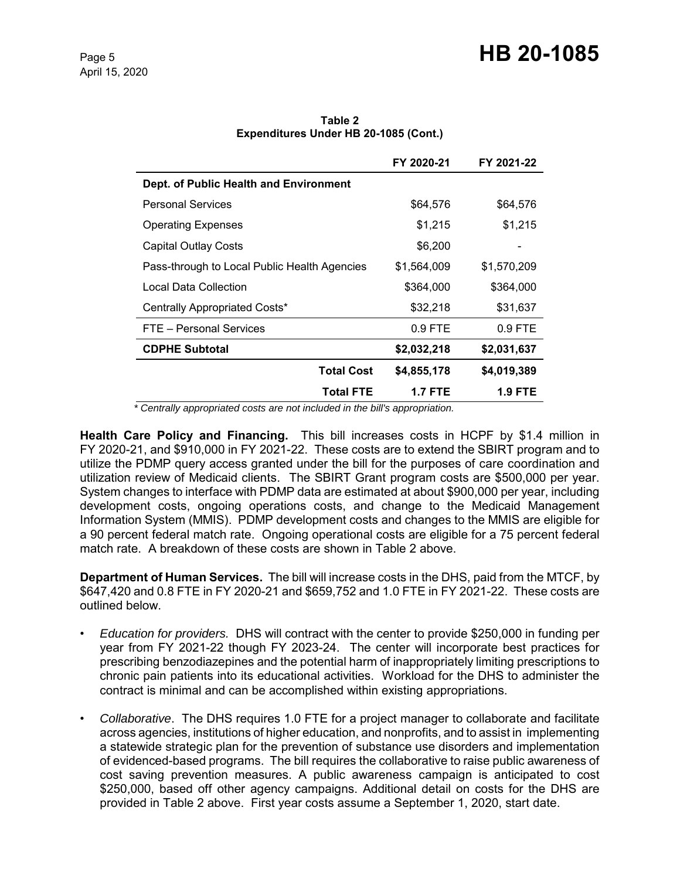|                                              | FY 2020-21  | FY 2021-22  |
|----------------------------------------------|-------------|-------------|
| Dept. of Public Health and Environment       |             |             |
| <b>Personal Services</b>                     | \$64,576    | \$64,576    |
| <b>Operating Expenses</b>                    | \$1,215     | \$1,215     |
| <b>Capital Outlay Costs</b>                  | \$6,200     |             |
| Pass-through to Local Public Health Agencies | \$1,564,009 | \$1,570,209 |
| Local Data Collection                        | \$364,000   | \$364,000   |
| Centrally Appropriated Costs*                | \$32,218    | \$31,637    |
| FTE - Personal Services                      | $0.9$ FTE   | $0.9$ FTE   |
| <b>CDPHE Subtotal</b>                        | \$2,032,218 | \$2,031,637 |
| <b>Total Cost</b>                            | \$4,855,178 | \$4,019,389 |
| <b>Total FTE</b>                             | 1.7 FTE     | 1.9 FTE     |

**Table 2 Expenditures Under HB 20-1085 (Cont.)**

 *\* Centrally appropriated costs are not included in the bill's appropriation.*

**Health Care Policy and Financing.** This bill increases costs in HCPF by \$1.4 million in FY 2020-21, and \$910,000 in FY 2021-22. These costs are to extend the SBIRT program and to utilize the PDMP query access granted under the bill for the purposes of care coordination and utilization review of Medicaid clients. The SBIRT Grant program costs are \$500,000 per year. System changes to interface with PDMP data are estimated at about \$900,000 per year, including development costs, ongoing operations costs, and change to the Medicaid Management Information System (MMIS). PDMP development costs and changes to the MMIS are eligible for a 90 percent federal match rate. Ongoing operational costs are eligible for a 75 percent federal match rate. A breakdown of these costs are shown in Table 2 above.

**Department of Human Services.** The bill will increase costs in the DHS, paid from the MTCF, by \$647,420 and 0.8 FTE in FY 2020-21 and \$659,752 and 1.0 FTE in FY 2021-22. These costs are outlined below.

- *Education for providers.* DHS will contract with the center to provide \$250,000 in funding per year from FY 2021-22 though FY 2023-24. The center will incorporate best practices for prescribing benzodiazepines and the potential harm of inappropriately limiting prescriptions to chronic pain patients into its educational activities. Workload for the DHS to administer the contract is minimal and can be accomplished within existing appropriations.
- *Collaborative*. The DHS requires 1.0 FTE for a project manager to collaborate and facilitate across agencies, institutions of higher education, and nonprofits, and to assist in implementing a statewide strategic plan for the prevention of substance use disorders and implementation of evidenced-based programs. The bill requires the collaborative to raise public awareness of cost saving prevention measures. A public awareness campaign is anticipated to cost \$250,000, based off other agency campaigns. Additional detail on costs for the DHS are provided in Table 2 above. First year costs assume a September 1, 2020, start date.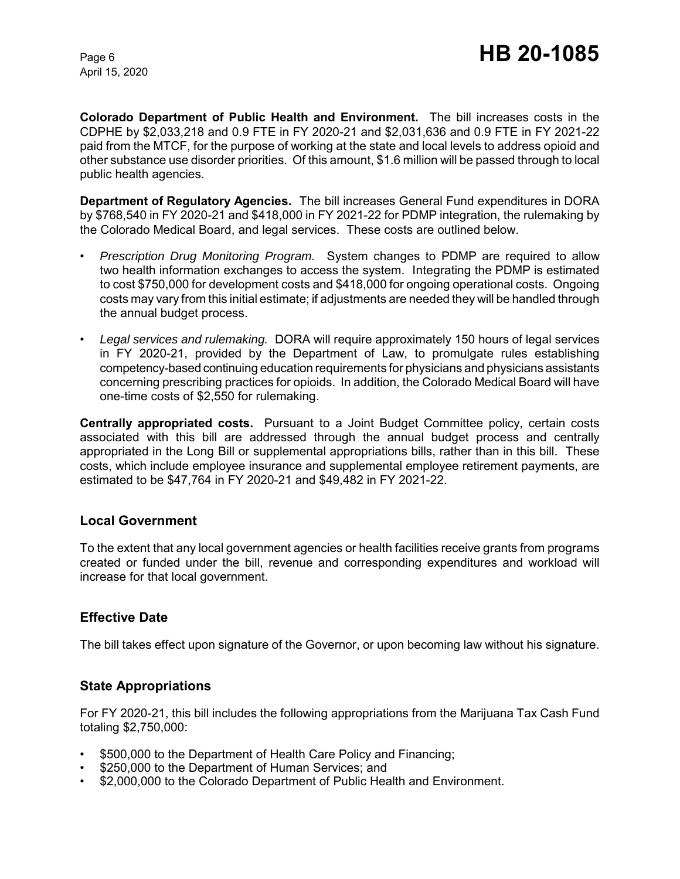**Colorado Department of Public Health and Environment.** The bill increases costs in the CDPHE by \$2,033,218 and 0.9 FTE in FY 2020-21 and \$2,031,636 and 0.9 FTE in FY 2021-22 paid from the MTCF, for the purpose of working at the state and local levels to address opioid and other substance use disorder priorities. Of this amount, \$1.6 million will be passed through to local public health agencies.

**Department of Regulatory Agencies.** The bill increases General Fund expenditures in DORA by \$768,540 in FY 2020-21 and \$418,000 in FY 2021-22 for PDMP integration, the rulemaking by the Colorado Medical Board, and legal services. These costs are outlined below.

- *Prescription Drug Monitoring Program.* System changes to PDMP are required to allow two health information exchanges to access the system. Integrating the PDMP is estimated to cost \$750,000 for development costs and \$418,000 for ongoing operational costs. Ongoing costs may vary from this initial estimate; if adjustments are needed they will be handled through the annual budget process.
- *Legal services and rulemaking.* DORA will require approximately 150 hours of legal services in FY 2020-21, provided by the Department of Law, to promulgate rules establishing competency-based continuing education requirements for physicians and physicians assistants concerning prescribing practices for opioids. In addition, the Colorado Medical Board will have one-time costs of \$2,550 for rulemaking.

**Centrally appropriated costs.** Pursuant to a Joint Budget Committee policy, certain costs associated with this bill are addressed through the annual budget process and centrally appropriated in the Long Bill or supplemental appropriations bills, rather than in this bill. These costs, which include employee insurance and supplemental employee retirement payments, are estimated to be \$47,764 in FY 2020-21 and \$49,482 in FY 2021-22.

### **Local Government**

To the extent that any local government agencies or health facilities receive grants from programs created or funded under the bill, revenue and corresponding expenditures and workload will increase for that local government.

# **Effective Date**

The bill takes effect upon signature of the Governor, or upon becoming law without his signature.

# **State Appropriations**

For FY 2020-21, this bill includes the following appropriations from the Marijuana Tax Cash Fund totaling \$2,750,000:

- \$500,000 to the Department of Health Care Policy and Financing;
- \$250,000 to the Department of Human Services; and
- \$2,000,000 to the Colorado Department of Public Health and Environment.